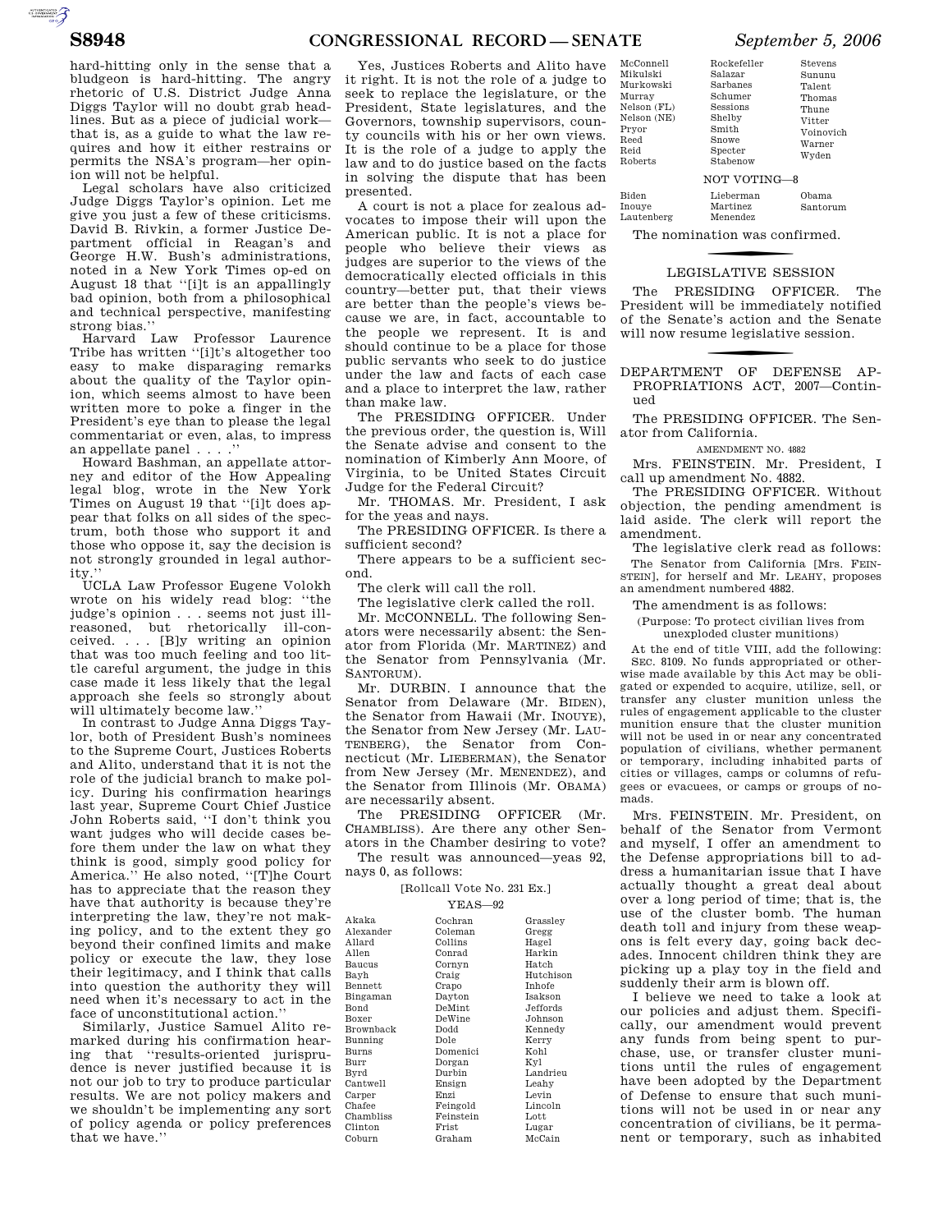AUTOROTOMICALE

hard-hitting only in the sense that a bludgeon is hard-hitting. The angry rhetoric of U.S. District Judge Anna Diggs Taylor will no doubt grab headlines. But as a piece of judicial work that is, as a guide to what the law requires and how it either restrains or permits the NSA's program—her opinion will not be helpful.

Legal scholars have also criticized Judge Diggs Taylor's opinion. Let me give you just a few of these criticisms. David B. Rivkin, a former Justice Department official in Reagan's and George H.W. Bush's administrations, noted in a New York Times op-ed on August 18 that ''[i]t is an appallingly bad opinion, both from a philosophical and technical perspective, manifesting strong bias.''

Harvard Law Professor Laurence Tribe has written ''[i]t's altogether too easy to make disparaging remarks about the quality of the Taylor opinion, which seems almost to have been written more to poke a finger in the President's eye than to please the legal commentariat or even, alas, to impress an appellate panel... .''

Howard Bashman, an appellate attorney and editor of the How Appealing legal blog, wrote in the New York Times on August 19 that ''[i]t does appear that folks on all sides of the spectrum, both those who support it and those who oppose it, say the decision is not strongly grounded in legal authority.

UCLA Law Professor Eugene Volokh wrote on his widely read blog: ''the judge's opinion . . . seems not just illreasoned, but rhetorically ill-conceived. . . . [B]y writing an opinion that was too much feeling and too little careful argument, the judge in this case made it less likely that the legal approach she feels so strongly about will ultimately become law.''

In contrast to Judge Anna Diggs Taylor, both of President Bush's nominees to the Supreme Court, Justices Roberts and Alito, understand that it is not the role of the judicial branch to make policy. During his confirmation hearings last year, Supreme Court Chief Justice John Roberts said, ''I don't think you want judges who will decide cases before them under the law on what they think is good, simply good policy for America.'' He also noted, ''[T]he Court has to appreciate that the reason they have that authority is because they're interpreting the law, they're not making policy, and to the extent they go beyond their confined limits and make policy or execute the law, they lose their legitimacy, and I think that calls into question the authority they will need when it's necessary to act in the face of unconstitutional action.''

Similarly, Justice Samuel Alito remarked during his confirmation hearing that ''results-oriented jurisprudence is never justified because it is not our job to try to produce particular results. We are not policy makers and we shouldn't be implementing any sort of policy agenda or policy preferences that we have.''

Yes, Justices Roberts and Alito have it right. It is not the role of a judge to seek to replace the legislature, or the President, State legislatures, and the Governors, township supervisors, county councils with his or her own views. It is the role of a judge to apply the law and to do justice based on the facts in solving the dispute that has been presented.

A court is not a place for zealous advocates to impose their will upon the American public. It is not a place for people who believe their views as judges are superior to the views of the democratically elected officials in this country—better put, that their views are better than the people's views because we are, in fact, accountable to the people we represent. It is and should continue to be a place for those public servants who seek to do justice under the law and facts of each case and a place to interpret the law, rather than make law.

The PRESIDING OFFICER. Under the previous order, the question is, Will the Senate advise and consent to the nomination of Kimberly Ann Moore, of Virginia, to be United States Circuit Judge for the Federal Circuit?

Mr. THOMAS. Mr. President, I ask for the yeas and nays.

The PRESIDING OFFICER. Is there a sufficient second?

There appears to be a sufficient sec-

ond. The clerk will call the roll.

The legislative clerk called the roll. Mr. MCCONNELL. The following Senators were necessarily absent: the Senator from Florida (Mr. MARTINEZ) and the Senator from Pennsylvania (Mr. SANTORIJM)

Mr. DURBIN. I announce that the Senator from Delaware (Mr. BIDEN), the Senator from Hawaii (Mr. INOUYE), the Senator from New Jersey (Mr. LAU-TENBERG), the Senator from Connecticut (Mr. LIEBERMAN), the Senator from New Jersey (Mr. MENENDEZ), and the Senator from Illinois (Mr. OBAMA) are necessarily absent.

The PRESIDING OFFICER (Mr. CHAMBLISS). Are there any other Senators in the Chamber desiring to vote?

The result was announced—yeas 92, nays 0, as follows:

[Rollcall Vote No. 231 Ex.] YEAS—92

|                          | + ⊥⊥⊥⊾<br>ັ |           |
|--------------------------|-------------|-----------|
| Akaka                    | Cochran     | Grassley  |
| Alexander                | Coleman     | Gregg     |
| Allard                   | Collins     | Hagel     |
| Allen                    | Conrad      | Harkin    |
| Baucus                   | Cornyn      | Hatch     |
| Bayh                     | Craig       | Hutchison |
| $\operatorname{Bennett}$ | Crapo       | Inhofe    |
| Bingaman                 | Dayton      | Isakson   |
| Bond                     | DeMint      | Jeffords  |
| Boxer                    | DeWine      | Johnson   |
| Brownback                | Dodd        | Kennedy   |
| Bunning                  | Dole        | Kerry     |
| Burns                    | Domenici    | Kohl      |
| Burr                     | Dorgan      | Kyl       |
| Byrd                     | Durbin      | Landrieu  |
| Cantwell                 | Ensign      | Leahy     |
| Carper                   | Enzi        | Levin     |
| Chafee                   | Feingold    | Lincoln   |
| Chambliss                | Feinstein   | Lott      |
| Clinton                  | Frist       | Lugar     |
| Coburn                   | Graham      | McCain    |

| McConnell<br>Mikulski<br>Murkowski<br>Murray<br>Nelson (FL)<br>Nelson (NE)<br>Pryor<br>Reed<br>Reid | Rockefeller<br>Salazar<br>Sarbanes<br>Schumer<br>Sessions<br>Shelby<br>Smith<br>Snowe<br>Specter | Stevens<br>Sununu<br>Talent<br>Thomas<br>Thune<br>Vitter<br>Voinovich<br>Warner |
|-----------------------------------------------------------------------------------------------------|--------------------------------------------------------------------------------------------------|---------------------------------------------------------------------------------|
| Roberts                                                                                             | Stabenow                                                                                         | Wyden                                                                           |
|                                                                                                     | NOT VOTING-8                                                                                     |                                                                                 |
| Biden<br>Inouye<br>Lautenberg                                                                       | Lieberman<br>Martinez<br>Menendez                                                                | Obama<br>Santorum                                                               |

Rockefeller

The nomination was confirmed.

## **LEGISLATIVE SESSION**

The PRESIDING OFFICER. The President will be immediately notified of the Senate's action and the Senate will now resume legislative session.

f DEPARTMENT OF DEFENSE AP-PROPRIATIONS ACT, 2007—Continued

The PRESIDING OFFICER. The Senator from California.

AMENDMENT NO. 4882

Mrs. FEINSTEIN. Mr. President, I call up amendment No. 4882.

The PRESIDING OFFICER. Without objection, the pending amendment is laid aside. The clerk will report the amendment.

The legislative clerk read as follows: The Senator from California [Mrs. FEIN-STEIN], for herself and Mr. LEAHY, proposes an amendment numbered 4882.

The amendment is as follows:

(Purpose: To protect civilian lives from unexploded cluster munitions)

At the end of title VIII, add the following: SEC. 8109. No funds appropriated or otherwise made available by this Act may be obligated or expended to acquire, utilize, sell, or transfer any cluster munition unless the rules of engagement applicable to the cluster munition ensure that the cluster munition will not be used in or near any concentrated population of civilians, whether permanent or temporary, including inhabited parts of cities or villages, camps or columns of refugees or evacuees, or camps or groups of nomads.

Mrs. FEINSTEIN. Mr. President, on behalf of the Senator from Vermont and myself, I offer an amendment to the Defense appropriations bill to address a humanitarian issue that I have actually thought a great deal about over a long period of time; that is, the use of the cluster bomb. The human death toll and injury from these weapons is felt every day, going back decades. Innocent children think they are picking up a play toy in the field and suddenly their arm is blown off.

I believe we need to take a look at our policies and adjust them. Specifically, our amendment would prevent any funds from being spent to purchase, use, or transfer cluster munitions until the rules of engagement have been adopted by the Department of Defense to ensure that such munitions will not be used in or near any concentration of civilians, be it permanent or temporary, such as inhabited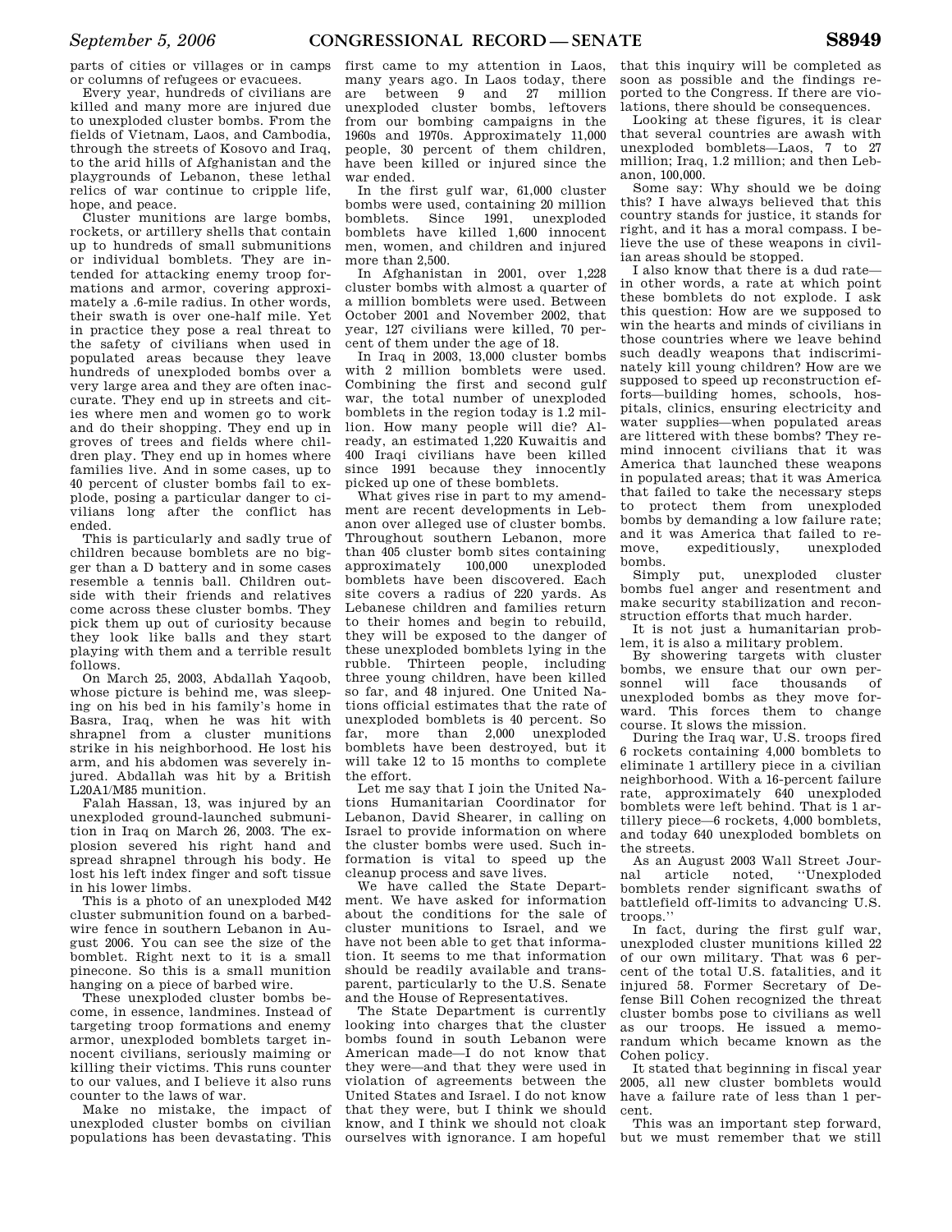parts of cities or villages or in camps or columns of refugees or evacuees.

Every year, hundreds of civilians are killed and many more are injured due to unexploded cluster bombs. From the fields of Vietnam, Laos, and Cambodia, through the streets of Kosovo and Iraq, to the arid hills of Afghanistan and the playgrounds of Lebanon, these lethal relics of war continue to cripple life, hope, and peace.

Cluster munitions are large bombs, rockets, or artillery shells that contain up to hundreds of small submunitions or individual bomblets. They are intended for attacking enemy troop formations and armor, covering approximately a .6-mile radius. In other words, their swath is over one-half mile. Yet in practice they pose a real threat to the safety of civilians when used in populated areas because they leave hundreds of unexploded bombs over a very large area and they are often inaccurate. They end up in streets and cities where men and women go to work and do their shopping. They end up in groves of trees and fields where children play. They end up in homes where families live. And in some cases, up to 40 percent of cluster bombs fail to explode, posing a particular danger to civilians long after the conflict has ended.

This is particularly and sadly true of children because bomblets are no bigger than a D battery and in some cases resemble a tennis ball. Children outside with their friends and relatives come across these cluster bombs. They pick them up out of curiosity because they look like balls and they start playing with them and a terrible result follows.

On March 25, 2003, Abdallah Yaqoob, whose picture is behind me, was sleeping on his bed in his family's home in Basra, Iraq, when he was hit with shrapnel from a cluster munitions strike in his neighborhood. He lost his arm, and his abdomen was severely injured. Abdallah was hit by a British L20A1/M85 munition.

Falah Hassan, 13, was injured by an unexploded ground-launched submunition in Iraq on March 26, 2003. The explosion severed his right hand and spread shrapnel through his body. He lost his left index finger and soft tissue in his lower limbs.

This is a photo of an unexploded M42 cluster submunition found on a barbedwire fence in southern Lebanon in August 2006. You can see the size of the bomblet. Right next to it is a small pinecone. So this is a small munition hanging on a piece of barbed wire.

These unexploded cluster bombs become, in essence, landmines. Instead of targeting troop formations and enemy armor, unexploded bomblets target innocent civilians, seriously maiming or killing their victims. This runs counter to our values, and I believe it also runs counter to the laws of war.

Make no mistake, the impact of unexploded cluster bombs on civilian populations has been devastating. This

first came to my attention in Laos, many years ago. In Laos today, there are between 9 and 27 million unexploded cluster bombs, leftovers from our bombing campaigns in the 1960s and 1970s. Approximately 11,000 people, 30 percent of them children, have been killed or injured since the war ended.

In the first gulf war, 61,000 cluster bombs were used, containing 20 million bomblets. Since 1991, unexploded bomblets have killed 1,600 innocent men, women, and children and injured more than 2,500.

In Afghanistan in 2001, over 1,228 cluster bombs with almost a quarter of a million bomblets were used. Between October 2001 and November 2002, that year, 127 civilians were killed, 70 percent of them under the age of 18.

In Iraq in 2003, 13,000 cluster bombs with 2 million bomblets were used. Combining the first and second gulf war, the total number of unexploded bomblets in the region today is 1.2 million. How many people will die? Already, an estimated 1,220 Kuwaitis and 400 Iraqi civilians have been killed since 1991 because they innocently picked up one of these bomblets.

What gives rise in part to my amendment are recent developments in Lebanon over alleged use of cluster bombs. Throughout southern Lebanon, more than 405 cluster bomb sites containing approximately 100,000 unexploded bomblets have been discovered. Each site covers a radius of 220 yards. As Lebanese children and families return to their homes and begin to rebuild, they will be exposed to the danger of these unexploded bomblets lying in the rubble. Thirteen people, including three young children, have been killed so far, and 48 injured. One United Nations official estimates that the rate of unexploded bomblets is 40 percent. So far, more than 2,000 unexploded bomblets have been destroyed, but it will take 12 to 15 months to complete the effort.

Let me say that I join the United Nations Humanitarian Coordinator for Lebanon, David Shearer, in calling on Israel to provide information on where the cluster bombs were used. Such information is vital to speed up the cleanup process and save lives.

We have called the State Department. We have asked for information about the conditions for the sale of cluster munitions to Israel, and we have not been able to get that information. It seems to me that information should be readily available and transparent, particularly to the U.S. Senate and the House of Representatives.

The State Department is currently looking into charges that the cluster bombs found in south Lebanon were American made—I do not know that they were—and that they were used in violation of agreements between the United States and Israel. I do not know that they were, but I think we should know, and I think we should not cloak ourselves with ignorance. I am hopeful

that this inquiry will be completed as soon as possible and the findings reported to the Congress. If there are violations, there should be consequences.

Looking at these figures, it is clear that several countries are awash with unexploded bomblets—Laos, 7 to 27 million; Iraq, 1.2 million; and then Lebanon, 100,000.

Some say: Why should we be doing this? I have always believed that this country stands for justice, it stands for right, and it has a moral compass. I believe the use of these weapons in civilian areas should be stopped.

I also know that there is a dud rate in other words, a rate at which point these bomblets do not explode. I ask this question: How are we supposed to win the hearts and minds of civilians in those countries where we leave behind such deadly weapons that indiscriminately kill young children? How are we supposed to speed up reconstruction efforts—building homes, schools, hospitals, clinics, ensuring electricity and water supplies—when populated areas are littered with these bombs? They remind innocent civilians that it was America that launched these weapons in populated areas; that it was America that failed to take the necessary steps to protect them from unexploded bombs by demanding a low failure rate; and it was America that failed to remove, expeditiously, unexploded bombs.

put, unexploded cluster bombs fuel anger and resentment and make security stabilization and reconstruction efforts that much harder.

It is not just a humanitarian problem, it is also a military problem.

By showering targets with cluster bombs, we ensure that our own personnel will face thousands of unexploded bombs as they move forward. This forces them to change course. It slows the mission.

During the Iraq war, U.S. troops fired 6 rockets containing 4,000 bomblets to eliminate 1 artillery piece in a civilian neighborhood. With a 16-percent failure rate, approximately 640 unexploded bomblets were left behind. That is 1 artillery piece—6 rockets, 4,000 bomblets, and today 640 unexploded bomblets on the streets.

As an August 2003 Wall Street Journal article noted, ''Unexploded bomblets render significant swaths of battlefield off-limits to advancing U.S. troops.''

In fact, during the first gulf war, unexploded cluster munitions killed 22 of our own military. That was 6 percent of the total U.S. fatalities, and it injured 58. Former Secretary of Defense Bill Cohen recognized the threat cluster bombs pose to civilians as well as our troops. He issued a memorandum which became known as the Cohen policy.

It stated that beginning in fiscal year 2005, all new cluster bomblets would have a failure rate of less than 1 percent.

This was an important step forward, but we must remember that we still